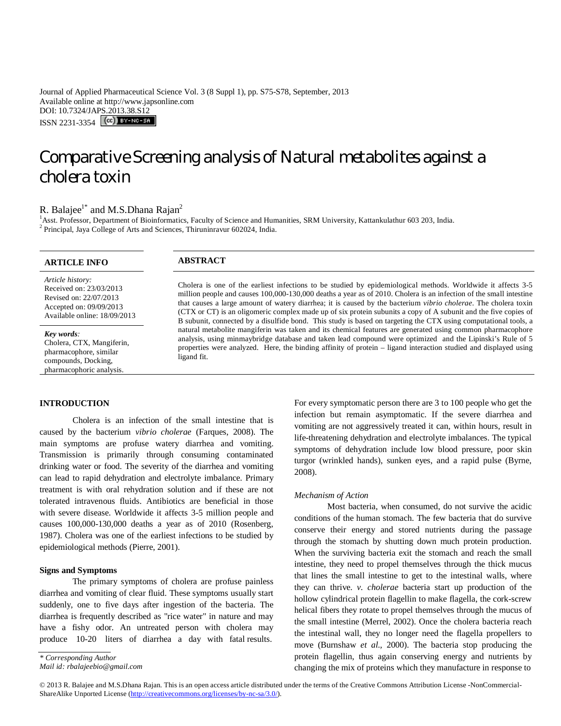Journal of Applied Pharmaceutical Science Vol. 3 (8 Suppl 1), pp. S75-S78, September, 2013 Available online at http://www.japsonline.com DOI: 10.7324/JAPS.2013.38.S12 ISSN 2231-3354 (CC) BY-NC-SA

# Comparative Screening analysis of Natural metabolites against a cholera toxin

## R. Balajee<sup>1\*</sup> and M.S.Dhana Rajan<sup>2</sup>

<sup>1</sup>Asst. Professor, Department of Bioinformatics, Faculty of Science and Humanities, SRM University, Kattankulathur 603 203, India. <sup>2</sup> Principal, Jaya College of Arts and Sciences, Thiruninravur 602024, India.

| <b>ARTICLE INFO</b>                                                                                                              | <b>ABSTRACT</b>                                                                                                                                                                                                                                                                                                                                                                                                                                                                                                                                                                                     |
|----------------------------------------------------------------------------------------------------------------------------------|-----------------------------------------------------------------------------------------------------------------------------------------------------------------------------------------------------------------------------------------------------------------------------------------------------------------------------------------------------------------------------------------------------------------------------------------------------------------------------------------------------------------------------------------------------------------------------------------------------|
| Article history:<br>Received on: 23/03/2013<br>Revised on: 22/07/2013<br>Accepted on: 09/09/2013<br>Available online: 18/09/2013 | Cholera is one of the earliest infections to be studied by epidemiological methods. Worldwide it affects 3-5<br>million people and causes 100,000-130,000 deaths a year as of 2010. Cholera is an infection of the small intestine<br>that causes a large amount of watery diarrhea; it is caused by the bacterium <i>vibrio cholerae</i> . The cholera toxin<br>(CTX or CT) is an oligomeric complex made up of six protein subunits a copy of A subunit and the five copies of<br>B subunit, connected by a disulfide bond. This study is based on targeting the CTX using computational tools, a |
| <b>Key words:</b><br>Cholera, CTX, Mangiferin,<br>pharmacophore, similar<br>compounds, Docking,<br>pharmacophoric analysis.      | natural metabolite mangiferin was taken and its chemical features are generated using common pharmacophore<br>analysis, using minmaybridge database and taken lead compound were optimized and the Lipinski's Rule of 5<br>properties were analyzed. Here, the binding affinity of protein – ligand interaction studied and displayed using<br>ligand fit.                                                                                                                                                                                                                                          |

## **INTRODUCTION**

Cholera is an infection of the small intestine that is caused by the bacterium *vibrio cholerae* (Farques, 2008). The main symptoms are profuse watery diarrhea and vomiting. Transmission is primarily through consuming contaminated drinking water or food. The severity of the diarrhea and vomiting can lead to rapid dehydration and electrolyte imbalance. Primary treatment is with oral rehydration solution and if these are not tolerated intravenous fluids. Antibiotics are beneficial in those with severe disease. Worldwide it affects 3-5 million people and causes 100,000-130,000 deaths a year as of 2010 (Rosenberg, 1987). Cholera was one of the earliest infections to be studied by epidemiological methods (Pierre, 2001).

#### **Signs and Symptoms**

The primary symptoms of cholera are profuse painless diarrhea and vomiting of clear fluid. These symptoms usually start suddenly, one to five days after ingestion of the bacteria. The diarrhea is frequently described as "rice water" in nature and may have a fishy odor. An untreated person with cholera may produce 10-20 liters of diarrhea a day with fatal results.

. *\* Corresponding Author*

For every symptomatic person there are 3 to 100 people who get the infection but remain asymptomatic. If the severe diarrhea and vomiting are not aggressively treated it can, within hours, result in life-threatening dehydration and electrolyte imbalances. The typical symptoms of dehydration include low blood pressure, poor skin turgor (wrinkled hands), sunken eyes, and a rapid pulse (Byrne, 2008).

#### *Mechanism of Action*

Most bacteria, when consumed, do not survive the acidic conditions of the human stomach. The few bacteria that do survive conserve their energy and stored nutrients during the passage through the stomach by shutting down much protein production. When the surviving bacteria exit the stomach and reach the small intestine, they need to propel themselves through the thick mucus that lines the small intestine to get to the intestinal walls, where they can thrive. *v. cholerae* bacteria start up production of the hollow cylindrical protein flagellin to make flagella, the cork-screw helical fibers they rotate to propel themselves through the mucus of the small intestine (Merrel, 2002). Once the cholera bacteria reach the intestinal wall, they no longer need the flagella propellers to move (Burnshaw *et al.,* 2000). The bacteria stop producing the protein flagellin, thus again conserving energy and nutrients by changing the mix of proteins which they manufacture in response to

© 2013 R. Balajee and M.S.Dhana Rajan. This is an open access article distributed under the terms of the Creative Commons Attribution License -NonCommercial-ShareAlike Unported License (http://creativecommons.org/licenses/by-nc-sa/3.0/).

*Mail id: rbalajeebio@gmail.com*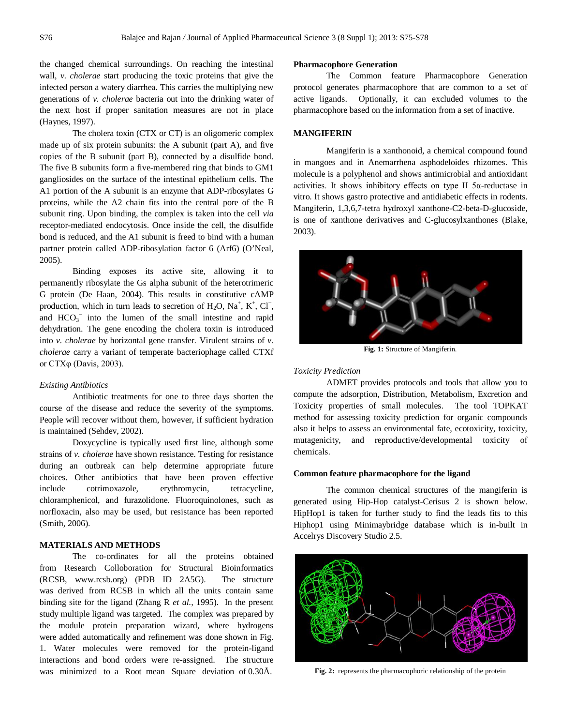the changed chemical surroundings. On reaching the intestinal wall, *v. cholerae* start producing the toxic proteins that give the infected person a watery diarrhea. This carries the multiplying new generations of *v. cholerae* bacteria out into the drinking water of the next host if proper sanitation measures are not in place (Haynes, 1997).

The cholera toxin (CTX or CT) is an oligomeric complex made up of six protein subunits: the A subunit (part A), and five copies of the B subunit (part B), connected by a disulfide bond. The five B subunits form a five-membered ring that binds to GM1 gangliosides on the surface of the intestinal epithelium cells. The A1 portion of the A subunit is an enzyme that ADP-ribosylates G proteins, while the A2 chain fits into the central pore of the B subunit ring. Upon binding, the complex is taken into the cell *via* receptor-mediated endocytosis. Once inside the cell, the disulfide bond is reduced, and the A1 subunit is freed to bind with a human partner protein called ADP-ribosylation factor 6 (Arf6) (O'Neal, 2005).

Binding exposes its active site, allowing it to permanently ribosylate the Gs alpha subunit of the heterotrimeric G protein (De Haan, 2004). This results in constitutive cAMP production, which in turn leads to secretion of  $H_2O$ ,  $Na^+$ ,  $K^+$ ,  $Cl^-$ , and  $HCO<sub>3</sub><sup>-</sup>$  into the lumen of the small intestine and rapid dehydration. The gene encoding the cholera toxin is introduced into *v. cholerae* by horizontal gene transfer. Virulent strains of *v. cholerae* carry a variant of temperate bacteriophage called CTXf or CTXφ (Davis, 2003).

#### *Existing Antibiotics*

Antibiotic treatments for one to three days shorten the course of the disease and reduce the severity of the symptoms. People will recover without them, however, if sufficient hydration is maintained (Sehdev, 2002).

Doxycycline is typically used first line, although some strains of *v. cholerae* have shown resistance. Testing for resistance during an outbreak can help determine appropriate future choices. Other antibiotics that have been proven effective include cotrimoxazole, erythromycin, tetracycline, chloramphenicol, and furazolidone. Fluoroquinolones, such as norfloxacin, also may be used, but resistance has been reported (Smith, 2006).

## **MATERIALS AND METHODS**

The co-ordinates for all the proteins obtained from Research Colloboration for Structural Bioinformatics (RCSB, www.rcsb.org) (PDB ID 2A5G). The structure was derived from RCSB in which all the units contain same binding site for the ligand (Zhang R *et al.,* 1995). In the present study multiple ligand was targeted. The complex was prepared by the module protein preparation wizard, where hydrogens were added automatically and refinement was done shown in Fig. 1. Water molecules were removed for the protein-ligand interactions and bond orders were re-assigned. The structure was minimized to a Root mean Square deviation of 0.30Å.

#### **Pharmacophore Generation**

The Common feature Pharmacophore Generation protocol generates pharmacophore that are common to a set of active ligands. Optionally, it can excluded volumes to the pharmacophore based on the information from a set of inactive.

#### **MANGIFERIN**

Mangiferin is a xanthonoid, a chemical compound found in mangoes and in Anemarrhena asphodeloides rhizomes. This molecule is a polyphenol and shows antimicrobial and antioxidant activities. It shows inhibitory effects on type II 5α-reductase in vitro. It shows gastro protective and antidiabetic effects in rodents. Mangiferin, 1,3,6,7-tetra hydroxyl xanthone-C2-beta-D-glucoside, is one of xanthone derivatives and C-glucosylxanthones (Blake, 2003).



**Fig. 1:** Structure of Mangiferin.

#### *Toxicity Prediction*

ADMET provides protocols and tools that allow you to compute the adsorption, Distribution, Metabolism, Excretion and Toxicity properties of small molecules. The tool TOPKAT method for assessing toxicity prediction for organic compounds also it helps to assess an environmental fate, ecotoxicity, toxicity, mutagenicity, and reproductive/developmental toxicity of chemicals.

#### **Common feature pharmacophore for the ligand**

The common chemical structures of the mangiferin is generated using Hip-Hop catalyst-Cerisus 2 is shown below. HipHop1 is taken for further study to find the leads fits to this Hiphop1 using Minimaybridge database which is in-built in Accelrys Discovery Studio 2.5.



**Fig. 2:** represents the pharmacophoric relationship of the protein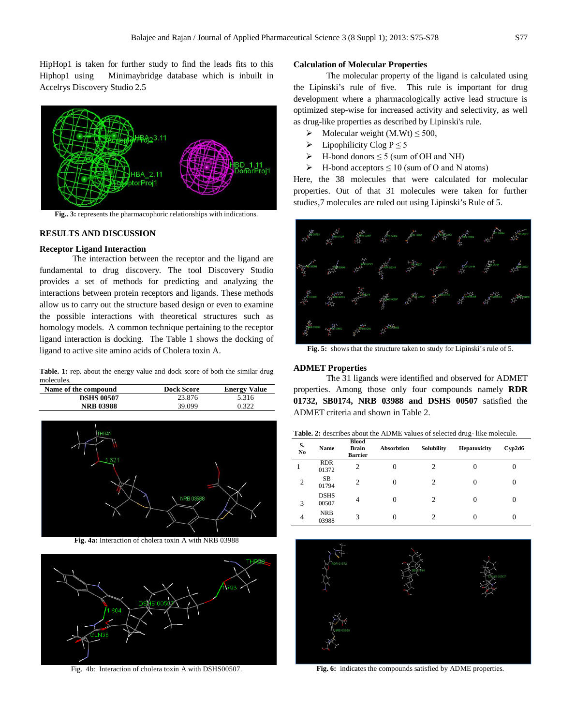HipHop1 is taken for further study to find the leads fits to this Hiphop1 using Minimaybridge database which is inbuilt in Accelrys Discovery Studio 2.5



**Fig.. 3:** represents the pharmacophoric relationships with indications.

## **RESULTS AND DISCUSSION**

#### **Receptor Ligand Interaction**

The interaction between the receptor and the ligand are fundamental to drug discovery. The tool Discovery Studio provides a set of methods for predicting and analyzing the interactions between protein receptors and ligands. These methods allow us to carry out the structure based design or even to examine the possible interactions with theoretical structures such as homology models. A common technique pertaining to the receptor ligand interaction is docking. The Table 1 shows the docking of ligand to active site amino acids of Cholera toxin A.

Table. 1: rep. about the energy value and dock score of both the similar drug molecules.

| Name of the compound | <b>Dock Score</b> | <b>Energy Value</b> |
|----------------------|-------------------|---------------------|
| <b>DSHS 00507</b>    | 23.876            | 5.316               |
| <b>NRB 03988</b>     | 39.099            | 0.322               |



**Fig. 4a:** Interaction of cholera toxin A with NRB 03988



Fig. 4b: Interaction of cholera toxin A with DSHS00507.

#### **Calculation of Molecular Properties**

The molecular property of the ligand is calculated using the Lipinski's rule of five. This rule is important for drug development where a pharmacologically active lead structure is optimized step-wise for increased activity and selectivity, as well as drug-like properties as described by Lipinski's rule.

- Molecular weight  $(M.Wt) \le 500$ ,
- $\triangleright$  Lipophilicity Clog P  $\leq$  5
- $\triangleright$  H-bond donors  $\leq 5$  (sum of OH and NH)
- $\triangleright$  H-bond acceptors  $\leq 10$  (sum of O and N atoms)

Here, the 38 molecules that were calculated for molecular properties. Out of that 31 molecules were taken for further studies,7 molecules are ruled out using Lipinski's Rule of 5.



**Fig. 5:** shows that the structure taken to study for Lipinski's rule of 5.

#### **ADMET Properties**

The 31 ligands were identified and observed for ADMET properties. Among those only four compounds namely **RDR 01732, SB0174, NRB 03988 and DSHS 00507** satisfied the ADMET criteria and shown in Table 2.

**Table. 2:** describes about the ADME values of selected drug- like molecule.

| S.<br>No       | Name                 | <b>Blood</b><br><b>Brain</b><br><b>Barrier</b> | Absorbtion | Solubility     | Hepatoxicity | Cyp2d6 |
|----------------|----------------------|------------------------------------------------|------------|----------------|--------------|--------|
|                | <b>RDR</b><br>01372  | 2                                              | 0          | 2              | 0            | 0      |
| $\overline{2}$ | SB<br>01794          | $\overline{c}$                                 | 0          | $\overline{2}$ | 0            | 0      |
| 3              | <b>DSHS</b><br>00507 | 4                                              | 0          | $\overline{2}$ | 0            | 0      |
| $\overline{4}$ | <b>NRB</b><br>03988  | 3                                              | 0          | $\mathfrak{D}$ |              |        |



**Fig. 6:** indicates the compounds satisfied by ADME properties.